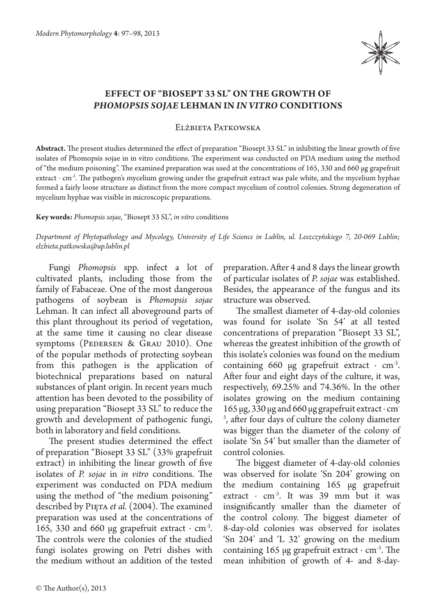

## **Effect of "Biosept 33 SL" on the growth of**  *Phomopsis sojae* **Lehman in** *in vitro* **conditions**

Elżbieta Patkowska

**Abstract.** The present studies determined the effect of preparation "Biosept 33 SL" in inhibiting the linear growth of five isolates of Phomopsis sojae in in vitro conditions. The experiment was conducted on PDA medium using the method of "the medium poisoning". The examined preparation was used at the concentrations of 165, 330 and 660 μg grapefruit extract ⋅ cm<sup>-3</sup>. The pathogen's mycelium growing under the grapefruit extract was pale white, and the mycelium hyphae formed a fairly loose structure as distinct from the more compact mycelium of control colonies. Strong degeneration of mycelium hyphae was visible in microscopic preparations.

## **Key words:** *Phomopsis sojae*, "Biosept 33 SL", *in vitro* conditions

*Department of Phytopathology and Mycology, University of Life Science in Lublin, ul. Leszczyńskiego 7, 20-069 Lublin; elzbieta.patkowska@up.lublin.pl*

Fungi *Phomopsis* spp. infect a lot of cultivated plants, including those from the family of Fabaceae. One of the most dangerous pathogens of soybean is *Phomopsis sojae*  Lehman. It can infect all aboveground parts of this plant throughout its period of vegetation, at the same time it causing no clear disease symptoms (PEDERSEN & GRAU 2010). One of the popular methods of protecting soybean from this pathogen is the application of biotechnical preparations based on natural substances of plant origin. In recent years much attention has been devoted to the possibility of using preparation "Biosept 33 SL" to reduce the growth and development of pathogenic fungi, both in laboratory and field conditions.

The present studies determined the effect of preparation "Biosept 33 SL" (33% grapefruit extract) in inhibiting the linear growth of five isolates of *P. sojae* in *in vitro* conditions. The experiment was conducted on PDA medium using the method of "the medium poisoning" described by Pięta *et al.* (2004). The examined preparation was used at the concentrations of 165, 330 and 660 μg grapefruit extract  $\cdot$  cm<sup>-3</sup>. The controls were the colonies of the studied fungi isolates growing on Petri dishes with the medium without an addition of the tested

preparation. After 4 and 8 days the linear growth of particular isolates of *P. sojae* was established. Besides, the appearance of the fungus and its structure was observed.

The smallest diameter of 4-day-old colonies was found for isolate 'Sn 54' at all tested concentrations of preparation "Biosept 33 SL", whereas the greatest inhibition of the growth of this isolate's colonies was found on the medium containing 660 μg grapefruit extract  $·$  cm<sup>-3</sup>. After four and eight days of the culture, it was, respectively, 69.25% and 74.36%. In the other isolates growing on the medium containing 165 μg, 330 μg and 660 μg grapefruit extract ∙ cm-3 , after four days of culture the colony diameter was bigger than the diameter of the colony of isolate 'Sn 54' but smaller than the diameter of control colonies.

The biggest diameter of 4-day-old colonies was observed for isolate 'Sn 204' growing on the medium containing 165 μg grapefruit extract  $\cdot$  cm<sup>-3</sup>. It was 39 mm but it was insignificantly smaller than the diameter of the control colony. The biggest diameter of 8-day-old colonies was observed for isolates 'Sn 204' and 'L 32' growing on the medium containing 165 μg grapefruit extract  $·$  cm<sup>-3</sup>. The mean inhibition of growth of 4- and 8-day